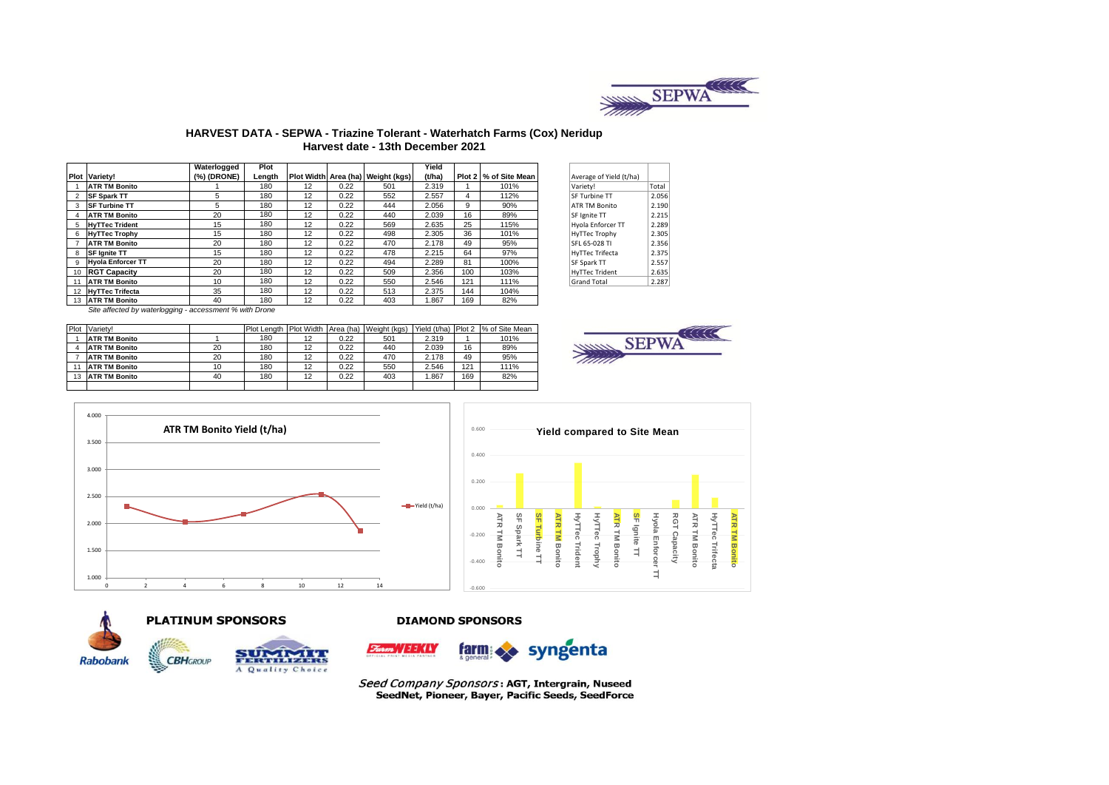

## **HARVEST DATA - SEPWA - Triazine Tolerant - Waterhatch Farms (Cox) Neridup Harvest date - 13th December 2021**

|   |                          | Waterlogged | Plot   |    |      |                                     | Yield  |     |                       |                         |       |
|---|--------------------------|-------------|--------|----|------|-------------------------------------|--------|-----|-----------------------|-------------------------|-------|
|   | <b>Plot Variety!</b>     | (%) (DRONE) | Length |    |      | Plot Width Area (ha)   Weight (kgs) | (t/ha) |     | Plot 2 % of Site Mean | Average of Yield (t/ha) |       |
|   | <b>ATR TM Bonito</b>     |             | 180    | 12 | 0.22 | 501                                 | 2.319  |     | 101%                  | Variety!                | Total |
|   | <b>SF Spark TT</b>       | 5           | 180    | 12 | 0.22 | 552                                 | 2.557  | 4   | 112%                  | <b>SF Turbine TT</b>    | 2.056 |
|   | <b>SF Turbine TT</b>     | 5           | 180    | 12 | 0.22 | 444                                 | 2.056  | 9   | 90%                   | <b>ATR TM Bonito</b>    | 2.190 |
|   | <b>ATR TM Bonito</b>     | 20          | 180    | 12 | 0.22 | 440                                 | 2.039  | 16  | 89%                   | SF lenite TT            | 2.215 |
| 5 | <b>HyTTec Trident</b>    | 15          | 180    | 12 | 0.22 | 569                                 | 2.635  | 25  | 115%                  | Hyola Enforcer TT       | 2.289 |
| 6 | <b>HyTTec Trophy</b>     | 15          | 180    | 12 | 0.22 | 498                                 | 2.305  | 36  | 101%                  | <b>HyTTec Trophy</b>    | 2.305 |
|   | <b>ATR TM Bonito</b>     | 20          | 180    | 12 | 0.22 | 470                                 | 2.178  | 49  | 95%                   | SFL 65-028 TI           | 2.356 |
|   | <b>SF lanite TT</b>      | 15          | 180    | 12 | 0.22 | 478                                 | 2.215  | 64  | 97%                   | HyTTec Trifecta         | 2.375 |
| q | <b>Hyola Enforcer TT</b> | 20          | 180    | 12 | 0.22 | 494                                 | 2.289  | 81  | 100%                  | <b>SF Spark TT</b>      | 2.557 |
|   | 10 RGT Capacity          | 20          | 180    | 12 | 0.22 | 509                                 | 2.356  | 100 | 103%                  | <b>HyTTec Trident</b>   | 2.635 |
|   | <b>ATR TM Bonito</b>     | 10          | 180    | 12 | 0.22 | 550                                 | 2.546  | 121 | 111%                  | <b>Grand Total</b>      | 2.287 |
|   | 12 HyTTec Trifecta       | 35          | 180    | 12 | 0.22 | 513                                 | 2.375  | 144 | 104%                  |                         |       |
|   | 13 ATR TM Bonito         | 40          | 180    | 12 | 0.22 | 403                                 | 1.867  | 169 | 82%                   |                         |       |

| verage of Yield (t/ha) |       |
|------------------------|-------|
| ariety!                | Total |
| F Turbine TT           | 2.056 |
| <b>TR TM Bonito</b>    | 2.190 |
| F Ignite TT            | 2.215 |
| vola Enforcer TT       | 2.289 |
| yTTec Trophy           | 2.305 |
| FL 65-028 TI           | 2.356 |
| yTTec Trifecta         | 2.375 |
| F Spark TT             | 2.557 |
| vTTec Trident          | 2.635 |
| <b>rand Total</b>      | 2.287 |
|                        |       |

Site affected by waterlogging - accessment % with Drone

|    | Plot Variety!        |    | Plot Length   Plot Width   Area (ha) |    |      | Weight (kgs) |       |     | Yield (t/ha) Plot 2 % of Site Mean |
|----|----------------------|----|--------------------------------------|----|------|--------------|-------|-----|------------------------------------|
|    | <b>ATR TM Bonito</b> |    | 180                                  | 12 | 0.22 | 501          | 2.319 |     | 101%                               |
|    | <b>ATR TM Bonito</b> | 20 | 180                                  | 12 | 0.22 | 440          | 2.039 | 16  | 89%                                |
|    | <b>ATR TM Bonito</b> | 20 | 180                                  | 12 | 0.22 | 470          | 2.178 | 49  | 95%                                |
|    | <b>ATR TM Bonito</b> | 10 | 180                                  | 12 | 0.22 | 550          | 2.546 | 121 | 111%                               |
| 13 | <b>ATR TM Bonito</b> | 40 | 180                                  | 12 | 0.22 | 403          | .867  | 169 | 82%                                |
|    |                      |    |                                      |    |      |              |       |     |                                    |









**PLATINUM SPONSORS** 



### **DIAMOND SPONSORS**



Seed Company Sponsors: AGT, Intergrain, Nuseed SeedNet, Pioneer, Bayer, Pacific Seeds, SeedForce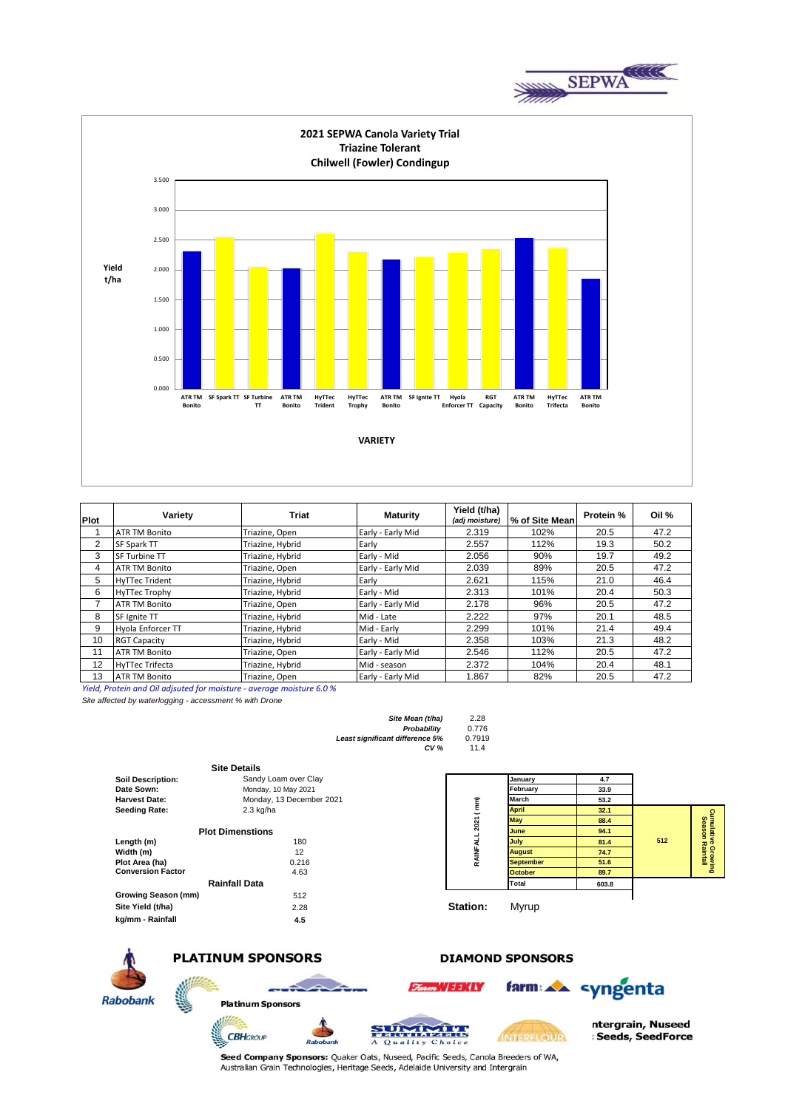



| Plot | Variety                | <b>Triat</b>     | <b>Maturity</b>   | Yield (t/ha)<br>(adj moisture) | % of Site Mean | Protein % | Oil % |
|------|------------------------|------------------|-------------------|--------------------------------|----------------|-----------|-------|
|      | <b>ATR TM Bonito</b>   | Triazine, Open   | Early - Early Mid | 2.319                          | 102%           | 20.5      | 47.2  |
| 2    | SF Spark TT            | Triazine, Hybrid | Early             | 2.557                          | 112%           | 19.3      | 50.2  |
| 3    | <b>SF Turbine TT</b>   | Triazine, Hybrid | Early - Mid       | 2.056                          | 90%            | 19.7      | 49.2  |
| 4    | <b>ATR TM Bonito</b>   | Triazine, Open   | Early - Early Mid | 2.039                          | 89%            | 20.5      | 47.2  |
| 5    | <b>HyTTec Trident</b>  | Triazine, Hybrid | Early             | 2.621                          | 115%           | 21.0      | 46.4  |
| 6    | <b>HyTTec Trophy</b>   | Triazine, Hybrid | Early - Mid       | 2.313                          | 101%           | 20.4      | 50.3  |
|      | <b>ATR TM Bonito</b>   | Triazine, Open   | Early - Early Mid | 2.178                          | 96%            | 20.5      | 47.2  |
| 8    | SF Ignite TT           | Triazine, Hybrid | Mid - Late        | 2.222                          | 97%            | 20.1      | 48.5  |
| 9    | Hyola Enforcer TT      | Triazine, Hybrid | Mid - Early       | 2.299                          | 101%           | 21.4      | 49.4  |
| 10   | <b>RGT Capacity</b>    | Triazine, Hybrid | Early - Mid       | 2.358                          | 103%           | 21.3      | 48.2  |
| 11   | <b>ATR TM Bonito</b>   | Triazine, Open   | Early - Early Mid | 2.546                          | 112%           | 20.5      | 47.2  |
| 12   | <b>HyTTec Trifecta</b> | Triazine, Hybrid | Mid - season      | 2.372                          | 104%           | 20.4      | 48.1  |
| 13   | <b>ATR TM Bonito</b>   | Triazine, Open   | Early - Early Mid | 1.867                          | 82%            | 20.5      | 47.2  |

*Yield, Protein and Oil adjsuted for moisture - average moisture 6.0 %*

*Site affected by waterlogging - accessment % with Drone*

| Site Mean (t/ha)                       | 2.28   |
|----------------------------------------|--------|
| Probability                            | 0.776  |
| <b>Least significant difference 5%</b> | 0.7919 |
| CV <sub>%</sub>                        | 11.4   |

|                          | <b>Site Details</b>      |                 |                  |       |     |                                |
|--------------------------|--------------------------|-----------------|------------------|-------|-----|--------------------------------|
| <b>Soil Description:</b> | Sandy Loam over Clay     |                 | January          | 4.7   |     |                                |
| Date Sown:               | Monday, 10 May 2021      |                 | February         | 33.9  |     |                                |
| <b>Harvest Date:</b>     | Monday, 13 December 2021 | Ê               | March            | 53.2  |     |                                |
| <b>Seeding Rate:</b>     | 2.3 kg/ha                |                 | <b>April</b>     | 32.1  |     |                                |
|                          |                          | 2021 (          | <b>May</b>       | 88.4  |     |                                |
|                          | <b>Plot Dimenstions</b>  |                 | June             | 94.1  |     | Cumulative<br>Season           |
| Length (m)               | 180                      | RAINFALL        | July             | 81.4  | 512 |                                |
| Width (m)                | 12                       |                 | <b>August</b>    | 74.7  |     | <i>r</i> e Growing<br>Rainfall |
| Plot Area (ha)           | 0.216                    |                 | <b>September</b> | 51.6  |     |                                |
| <b>Conversion Factor</b> | 4.63                     |                 | <b>October</b>   | 89.7  |     |                                |
|                          | <b>Rainfall Data</b>     |                 | Total            | 603.8 |     |                                |
| Growing Season (mm)      | 512                      |                 |                  |       |     |                                |
| Site Yield (t/ha)        | 2.28                     | <b>Station:</b> | Myrup            |       |     |                                |
| kg/mm - Rainfall         | 4.5                      |                 |                  |       |     |                                |



# **PLATINUM SPONSORS**

**CBH**GROUP

**Platinum Sponsors** 



733.437



farm: AA syngenta

**DIAMOND SPONSORS** 



Seed Company Sponsors: Quaker Oats, Nuseed, Pacific Seeds, Canola Breeders of WA, Australian Grain Technologies, Heritage Seeds, Adelaide University and Intergrain